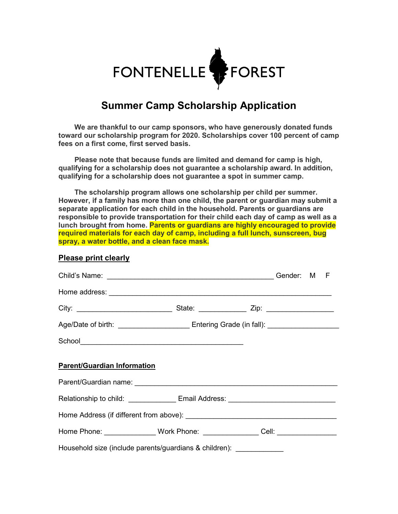

## **Summer Camp Scholarship Application**

 **We are thankful to our camp sponsors, who have generously donated funds toward our scholarship program for 2020. Scholarships cover 100 percent of camp fees on a first come, first served basis.**

 **Please note that because funds are limited and demand for camp is high, qualifying for a scholarship does not guarantee a scholarship award. In addition, qualifying for a scholarship does not guarantee a spot in summer camp.**

 **The scholarship program allows one scholarship per child per summer. However, if a family has more than one child, the parent or guardian may submit a separate application for each child in the household. Parents or guardians are responsible to provide transportation for their child each day of camp as well as a lunch brought from home. Parents or guardians are highly encouraged to provide required materials for each day of camp, including a full lunch, sunscreen, bug spray, a water bottle, and a clean face mask.**

## **Please print clearly**

|                                                                                  | Age/Date of birth: _______________________________Entering Grade (in fall): _______________________ |  |  |  |  |
|----------------------------------------------------------------------------------|-----------------------------------------------------------------------------------------------------|--|--|--|--|
|                                                                                  |                                                                                                     |  |  |  |  |
| <b>Parent/Guardian Information</b>                                               |                                                                                                     |  |  |  |  |
| Relationship to child: _______________ Email Address: __________________________ |                                                                                                     |  |  |  |  |
|                                                                                  |                                                                                                     |  |  |  |  |
| Home Phone: _______________Work Phone: ________________Cell: ___________________ |                                                                                                     |  |  |  |  |
| Household size (include parents/guardians & children): _____________             |                                                                                                     |  |  |  |  |